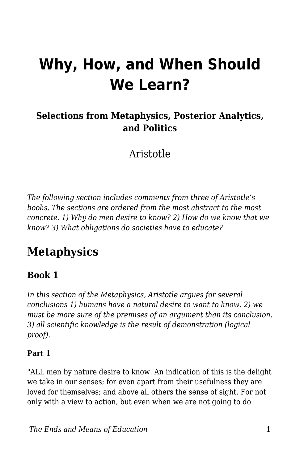# **Why, How, and When Should We Learn?**

## **Selections from Metaphysics, Posterior Analytics, and Politics**

Aristotle

*The following section includes comments from three of Aristotle's books. The sections are ordered from the most abstract to the most concrete. 1) Why do men desire to know? 2) How do we know that we know? 3) What obligations do societies have to educate?*

# **Metaphysics**

#### **Book 1**

*In this section of the Metaphysics, Aristotle argues for several conclusions 1) humans have a natural desire to want to know. 2) we must be more sure of the premises of an argument than its conclusion. 3) all scientific knowledge is the result of demonstration (logical proof).* 

#### **Part 1**

"ALL men by nature desire to know. An indication of this is the delight we take in our senses; for even apart from their usefulness they are loved for themselves; and above all others the sense of sight. For not only with a view to action, but even when we are not going to do

*The Ends and Means of Education* 1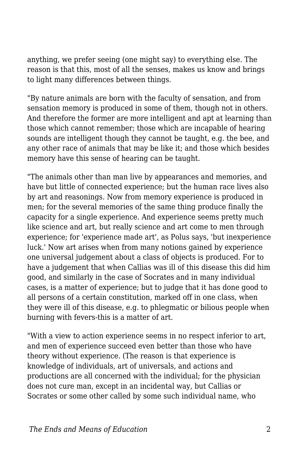anything, we prefer seeing (one might say) to everything else. The reason is that this, most of all the senses, makes us know and brings to light many differences between things.

"By nature animals are born with the faculty of sensation, and from sensation memory is produced in some of them, though not in others. And therefore the former are more intelligent and apt at learning than those which cannot remember; those which are incapable of hearing sounds are intelligent though they cannot be taught, e.g. the bee, and any other race of animals that may be like it; and those which besides memory have this sense of hearing can be taught.

"The animals other than man live by appearances and memories, and have but little of connected experience; but the human race lives also by art and reasonings. Now from memory experience is produced in men; for the several memories of the same thing produce finally the capacity for a single experience. And experience seems pretty much like science and art, but really science and art come to men through experience; for 'experience made art', as Polus says, 'but inexperience luck.' Now art arises when from many notions gained by experience one universal judgement about a class of objects is produced. For to have a judgement that when Callias was ill of this disease this did him good, and similarly in the case of Socrates and in many individual cases, is a matter of experience; but to judge that it has done good to all persons of a certain constitution, marked off in one class, when they were ill of this disease, e.g. to phlegmatic or bilious people when burning with fevers-this is a matter of art.

"With a view to action experience seems in no respect inferior to art, and men of experience succeed even better than those who have theory without experience. (The reason is that experience is knowledge of individuals, art of universals, and actions and productions are all concerned with the individual; for the physician does not cure man, except in an incidental way, but Callias or Socrates or some other called by some such individual name, who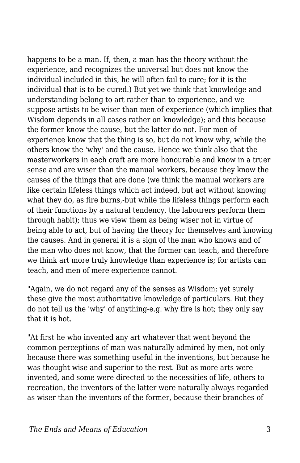happens to be a man. If, then, a man has the theory without the experience, and recognizes the universal but does not know the individual included in this, he will often fail to cure; for it is the individual that is to be cured.) But yet we think that knowledge and understanding belong to art rather than to experience, and we suppose artists to be wiser than men of experience (which implies that Wisdom depends in all cases rather on knowledge); and this because the former know the cause, but the latter do not. For men of experience know that the thing is so, but do not know why, while the others know the 'why' and the cause. Hence we think also that the masterworkers in each craft are more honourable and know in a truer sense and are wiser than the manual workers, because they know the causes of the things that are done (we think the manual workers are like certain lifeless things which act indeed, but act without knowing what they do, as fire burns,-but while the lifeless things perform each of their functions by a natural tendency, the labourers perform them through habit); thus we view them as being wiser not in virtue of being able to act, but of having the theory for themselves and knowing the causes. And in general it is a sign of the man who knows and of the man who does not know, that the former can teach, and therefore we think art more truly knowledge than experience is; for artists can teach, and men of mere experience cannot.

"Again, we do not regard any of the senses as Wisdom; yet surely these give the most authoritative knowledge of particulars. But they do not tell us the 'why' of anything-e.g. why fire is hot; they only say that it is hot.

"At first he who invented any art whatever that went beyond the common perceptions of man was naturally admired by men, not only because there was something useful in the inventions, but because he was thought wise and superior to the rest. But as more arts were invented, and some were directed to the necessities of life, others to recreation, the inventors of the latter were naturally always regarded as wiser than the inventors of the former, because their branches of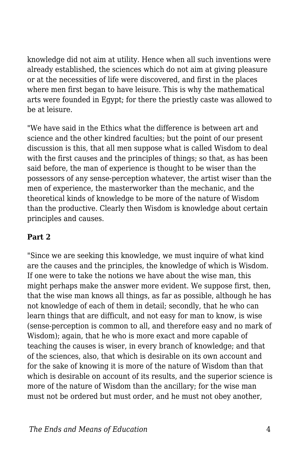knowledge did not aim at utility. Hence when all such inventions were already established, the sciences which do not aim at giving pleasure or at the necessities of life were discovered, and first in the places where men first began to have leisure. This is why the mathematical arts were founded in Egypt; for there the priestly caste was allowed to be at leisure.

"We have said in the Ethics what the difference is between art and science and the other kindred faculties; but the point of our present discussion is this, that all men suppose what is called Wisdom to deal with the first causes and the principles of things; so that, as has been said before, the man of experience is thought to be wiser than the possessors of any sense-perception whatever, the artist wiser than the men of experience, the masterworker than the mechanic, and the theoretical kinds of knowledge to be more of the nature of Wisdom than the productive. Clearly then Wisdom is knowledge about certain principles and causes.

#### **Part 2**

"Since we are seeking this knowledge, we must inquire of what kind are the causes and the principles, the knowledge of which is Wisdom. If one were to take the notions we have about the wise man, this might perhaps make the answer more evident. We suppose first, then, that the wise man knows all things, as far as possible, although he has not knowledge of each of them in detail; secondly, that he who can learn things that are difficult, and not easy for man to know, is wise (sense-perception is common to all, and therefore easy and no mark of Wisdom); again, that he who is more exact and more capable of teaching the causes is wiser, in every branch of knowledge; and that of the sciences, also, that which is desirable on its own account and for the sake of knowing it is more of the nature of Wisdom than that which is desirable on account of its results, and the superior science is more of the nature of Wisdom than the ancillary; for the wise man must not be ordered but must order, and he must not obey another,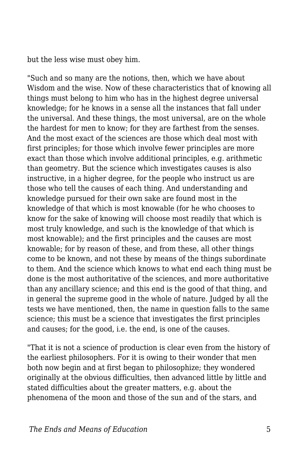but the less wise must obey him.

"Such and so many are the notions, then, which we have about Wisdom and the wise. Now of these characteristics that of knowing all things must belong to him who has in the highest degree universal knowledge; for he knows in a sense all the instances that fall under the universal. And these things, the most universal, are on the whole the hardest for men to know; for they are farthest from the senses. And the most exact of the sciences are those which deal most with first principles; for those which involve fewer principles are more exact than those which involve additional principles, e.g. arithmetic than geometry. But the science which investigates causes is also instructive, in a higher degree, for the people who instruct us are those who tell the causes of each thing. And understanding and knowledge pursued for their own sake are found most in the knowledge of that which is most knowable (for he who chooses to know for the sake of knowing will choose most readily that which is most truly knowledge, and such is the knowledge of that which is most knowable); and the first principles and the causes are most knowable; for by reason of these, and from these, all other things come to be known, and not these by means of the things subordinate to them. And the science which knows to what end each thing must be done is the most authoritative of the sciences, and more authoritative than any ancillary science; and this end is the good of that thing, and in general the supreme good in the whole of nature. Judged by all the tests we have mentioned, then, the name in question falls to the same science; this must be a science that investigates the first principles and causes; for the good, i.e. the end, is one of the causes.

"That it is not a science of production is clear even from the history of the earliest philosophers. For it is owing to their wonder that men both now begin and at first began to philosophize; they wondered originally at the obvious difficulties, then advanced little by little and stated difficulties about the greater matters, e.g. about the phenomena of the moon and those of the sun and of the stars, and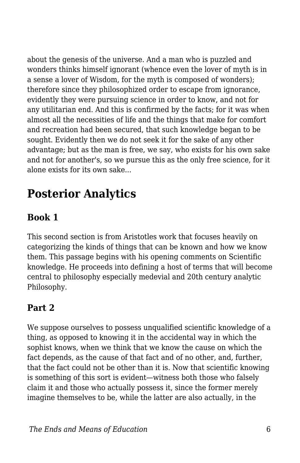about the genesis of the universe. And a man who is puzzled and wonders thinks himself ignorant (whence even the lover of myth is in a sense a lover of Wisdom, for the myth is composed of wonders); therefore since they philosophized order to escape from ignorance, evidently they were pursuing science in order to know, and not for any utilitarian end. And this is confirmed by the facts; for it was when almost all the necessities of life and the things that make for comfort and recreation had been secured, that such knowledge began to be sought. Evidently then we do not seek it for the sake of any other advantage; but as the man is free, we say, who exists for his own sake and not for another's, so we pursue this as the only free science, for it alone exists for its own sake...

# **Posterior Analytics**

### **Book 1**

This second section is from Aristotles work that focuses heavily on categorizing the kinds of things that can be known and how we know them. This passage begins with his opening comments on Scientific knowledge. He proceeds into defining a host of terms that will become central to philosophy especially medevial and 20th century analytic Philosophy.

#### **Part 2**

We suppose ourselves to possess unqualified scientific knowledge of a thing, as opposed to knowing it in the accidental way in which the sophist knows, when we think that we know the cause on which the fact depends, as the cause of that fact and of no other, and, further, that the fact could not be other than it is. Now that scientific knowing is something of this sort is evident—witness both those who falsely claim it and those who actually possess it, since the former merely imagine themselves to be, while the latter are also actually, in the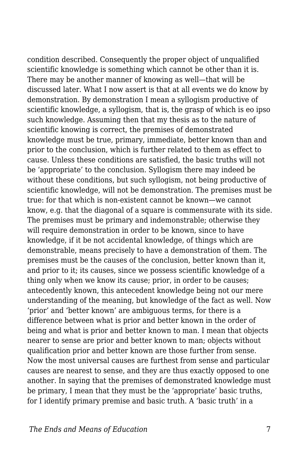condition described. Consequently the proper object of unqualified scientific knowledge is something which cannot be other than it is. There may be another manner of knowing as well—that will be discussed later. What I now assert is that at all events we do know by demonstration. By demonstration I mean a syllogism productive of scientific knowledge, a syllogism, that is, the grasp of which is eo ipso such knowledge. Assuming then that my thesis as to the nature of scientific knowing is correct, the premises of demonstrated knowledge must be true, primary, immediate, better known than and prior to the conclusion, which is further related to them as effect to cause. Unless these conditions are satisfied, the basic truths will not be 'appropriate' to the conclusion. Syllogism there may indeed be without these conditions, but such syllogism, not being productive of scientific knowledge, will not be demonstration. The premises must be true: for that which is non-existent cannot be known—we cannot know, e.g. that the diagonal of a square is commensurate with its side. The premises must be primary and indemonstrable; otherwise they will require demonstration in order to be known, since to have knowledge, if it be not accidental knowledge, of things which are demonstrable, means precisely to have a demonstration of them. The premises must be the causes of the conclusion, better known than it, and prior to it; its causes, since we possess scientific knowledge of a thing only when we know its cause; prior, in order to be causes; antecedently known, this antecedent knowledge being not our mere understanding of the meaning, but knowledge of the fact as well. Now 'prior' and 'better known' are ambiguous terms, for there is a difference between what is prior and better known in the order of being and what is prior and better known to man. I mean that objects nearer to sense are prior and better known to man; objects without qualification prior and better known are those further from sense. Now the most universal causes are furthest from sense and particular causes are nearest to sense, and they are thus exactly opposed to one another. In saying that the premises of demonstrated knowledge must be primary, I mean that they must be the 'appropriate' basic truths, for I identify primary premise and basic truth. A 'basic truth' in a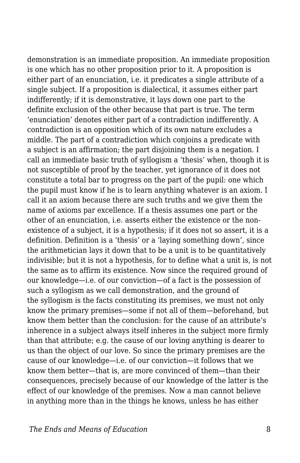demonstration is an immediate proposition. An immediate proposition is one which has no other proposition prior to it. A proposition is either part of an enunciation, i.e. it predicates a single attribute of a single subject. If a proposition is dialectical, it assumes either part indifferently; if it is demonstrative, it lays down one part to the definite exclusion of the other because that part is true. The term 'enunciation' denotes either part of a contradiction indifferently. A contradiction is an opposition which of its own nature excludes a middle. The part of a contradiction which conjoins a predicate with a subject is an affirmation; the part disjoining them is a negation. I call an immediate basic truth of syllogism a 'thesis' when, though it is not susceptible of proof by the teacher, yet ignorance of it does not constitute a total bar to progress on the part of the pupil: one which the pupil must know if he is to learn anything whatever is an axiom. I call it an axiom because there are such truths and we give them the name of axioms par excellence. If a thesis assumes one part or the other of an enunciation, i.e. asserts either the existence or the nonexistence of a subject, it is a hypothesis; if it does not so assert, it is a definition. Definition is a 'thesis' or a 'laying something down', since the arithmetician lays it down that to be a unit is to be quantitatively indivisible; but it is not a hypothesis, for to define what a unit is, is not the same as to affirm its existence. Now since the required ground of our knowledge—i.e. of our conviction—of a fact is the possession of such a syllogism as we call demonstration, and the ground of the syllogism is the facts constituting its premises, we must not only know the primary premises—some if not all of them—beforehand, but know them better than the conclusion: for the cause of an attribute's inherence in a subject always itself inheres in the subject more firmly than that attribute; e.g. the cause of our loving anything is dearer to us than the object of our love. So since the primary premises are the cause of our knowledge—i.e. of our conviction—it follows that we know them better—that is, are more convinced of them—than their consequences, precisely because of our knowledge of the latter is the effect of our knowledge of the premises. Now a man cannot believe in anything more than in the things he knows, unless he has either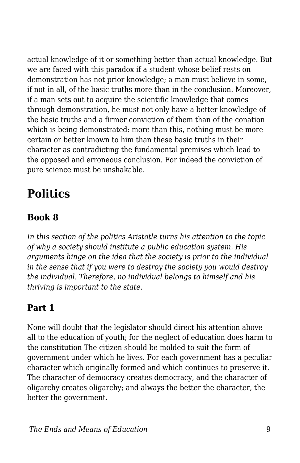actual knowledge of it or something better than actual knowledge. But we are faced with this paradox if a student whose belief rests on demonstration has not prior knowledge; a man must believe in some, if not in all, of the basic truths more than in the conclusion. Moreover, if a man sets out to acquire the scientific knowledge that comes through demonstration, he must not only have a better knowledge of the basic truths and a firmer conviction of them than of the conation which is being demonstrated: more than this, nothing must be more certain or better known to him than these basic truths in their character as contradicting the fundamental premises which lead to the opposed and erroneous conclusion. For indeed the conviction of pure science must be unshakable.

# **Politics**

### **Book 8**

*In this section of the politics Aristotle turns his attention to the topic of why a society should institute a public education system. His arguments hinge on the idea that the society is prior to the individual in the sense that if you were to destroy the society you would destroy the individual. Therefore, no individual belongs to himself and his thriving is important to the state.* 

## **Part 1**

None will doubt that the legislator should direct his attention above all to the education of youth; for the neglect of education does harm to the constitution The citizen should be molded to suit the form of government under which he lives. For each government has a peculiar character which originally formed and which continues to preserve it. The character of democracy creates democracy, and the character of oligarchy creates oligarchy; and always the better the character, the better the government.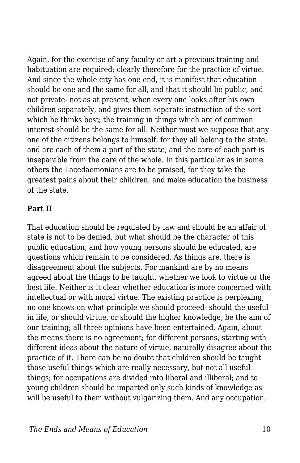Again, for the exercise of any faculty or art a previous training and habituation are required; clearly therefore for the practice of virtue. And since the whole city has one end, it is manifest that education should be one and the same for all, and that it should be public, and not private- not as at present, when every one looks after his own children separately, and gives them separate instruction of the sort which he thinks best; the training in things which are of common interest should be the same for all. Neither must we suppose that any one of the citizens belongs to himself, for they all belong to the state, and are each of them a part of the state, and the care of each part is inseparable from the care of the whole. In this particular as in some others the Lacedaemonians are to be praised, for they take the greatest pains about their children, and make education the business of the state.

#### **Part II**

That education should be regulated by law and should be an affair of state is not to be denied, but what should be the character of this public education, and how young persons should be educated, are questions which remain to be considered. As things are, there is disagreement about the subjects. For mankind are by no means agreed about the things to be taught, whether we look to virtue or the best life. Neither is it clear whether education is more concerned with intellectual or with moral virtue. The existing practice is perplexing; no one knows on what principle we should proceed- should the useful in life, or should virtue, or should the higher knowledge, be the aim of our training; all three opinions have been entertained. Again, about the means there is no agreement; for different persons, starting with different ideas about the nature of virtue, naturally disagree about the practice of it. There can be no doubt that children should be taught those useful things which are really necessary, but not all useful things; for occupations are divided into liberal and illiberal; and to young children should be imparted only such kinds of knowledge as will be useful to them without vulgarizing them. And any occupation,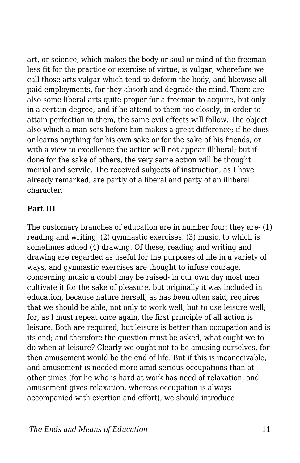art, or science, which makes the body or soul or mind of the freeman less fit for the practice or exercise of virtue, is vulgar; wherefore we call those arts vulgar which tend to deform the body, and likewise all paid employments, for they absorb and degrade the mind. There are also some liberal arts quite proper for a freeman to acquire, but only in a certain degree, and if he attend to them too closely, in order to attain perfection in them, the same evil effects will follow. The object also which a man sets before him makes a great difference; if he does or learns anything for his own sake or for the sake of his friends, or with a view to excellence the action will not appear illiberal; but if done for the sake of others, the very same action will be thought menial and servile. The received subjects of instruction, as I have already remarked, are partly of a liberal and party of an illiberal character.

#### **Part III**

The customary branches of education are in number four; they are- (1) reading and writing, (2) gymnastic exercises, (3) music, to which is sometimes added (4) drawing. Of these, reading and writing and drawing are regarded as useful for the purposes of life in a variety of ways, and gymnastic exercises are thought to infuse courage. concerning music a doubt may be raised- in our own day most men cultivate it for the sake of pleasure, but originally it was included in education, because nature herself, as has been often said, requires that we should be able, not only to work well, but to use leisure well; for, as I must repeat once again, the first principle of all action is leisure. Both are required, but leisure is better than occupation and is its end; and therefore the question must be asked, what ought we to do when at leisure? Clearly we ought not to be amusing ourselves, for then amusement would be the end of life. But if this is inconceivable, and amusement is needed more amid serious occupations than at other times (for he who is hard at work has need of relaxation, and amusement gives relaxation, whereas occupation is always accompanied with exertion and effort), we should introduce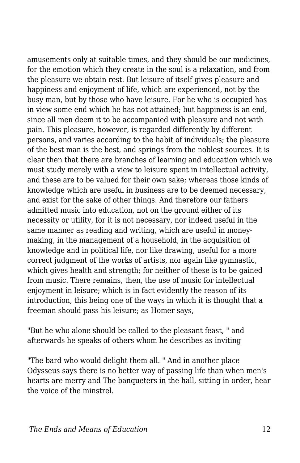amusements only at suitable times, and they should be our medicines, for the emotion which they create in the soul is a relaxation, and from the pleasure we obtain rest. But leisure of itself gives pleasure and happiness and enjoyment of life, which are experienced, not by the busy man, but by those who have leisure. For he who is occupied has in view some end which he has not attained; but happiness is an end, since all men deem it to be accompanied with pleasure and not with pain. This pleasure, however, is regarded differently by different persons, and varies according to the habit of individuals; the pleasure of the best man is the best, and springs from the noblest sources. It is clear then that there are branches of learning and education which we must study merely with a view to leisure spent in intellectual activity, and these are to be valued for their own sake; whereas those kinds of knowledge which are useful in business are to be deemed necessary, and exist for the sake of other things. And therefore our fathers admitted music into education, not on the ground either of its necessity or utility, for it is not necessary, nor indeed useful in the same manner as reading and writing, which are useful in moneymaking, in the management of a household, in the acquisition of knowledge and in political life, nor like drawing, useful for a more correct judgment of the works of artists, nor again like gymnastic, which gives health and strength; for neither of these is to be gained from music. There remains, then, the use of music for intellectual enjoyment in leisure; which is in fact evidently the reason of its introduction, this being one of the ways in which it is thought that a freeman should pass his leisure; as Homer says,

"But he who alone should be called to the pleasant feast, " and afterwards he speaks of others whom he describes as inviting

"The bard who would delight them all. " And in another place Odysseus says there is no better way of passing life than when men's hearts are merry and The banqueters in the hall, sitting in order, hear the voice of the minstrel.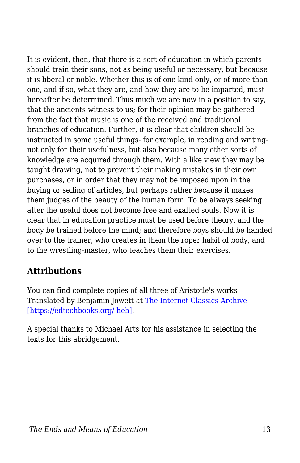It is evident, then, that there is a sort of education in which parents should train their sons, not as being useful or necessary, but because it is liberal or noble. Whether this is of one kind only, or of more than one, and if so, what they are, and how they are to be imparted, must hereafter be determined. Thus much we are now in a position to say, that the ancients witness to us; for their opinion may be gathered from the fact that music is one of the received and traditional branches of education. Further, it is clear that children should be instructed in some useful things- for example, in reading and writingnot only for their usefulness, but also because many other sorts of knowledge are acquired through them. With a like view they may be taught drawing, not to prevent their making mistakes in their own purchases, or in order that they may not be imposed upon in the buying or selling of articles, but perhaps rather because it makes them judges of the beauty of the human form. To be always seeking after the useful does not become free and exalted souls. Now it is clear that in education practice must be used before theory, and the body be trained before the mind; and therefore boys should be handed over to the trainer, who creates in them the roper habit of body, and to the wrestling-master, who teaches them their exercises.

## **Attributions**

You can find complete copies of all three of Aristotle's works Translated by Benjamin Jowett at [The Internet Classics Archive](http://classics.mit.edu/Browse/index.html) [\[https://edtechbooks.org/-heh\]](http://classics.mit.edu/Browse/index.html).

A special thanks to Michael Arts for his assistance in selecting the texts for this abridgement.